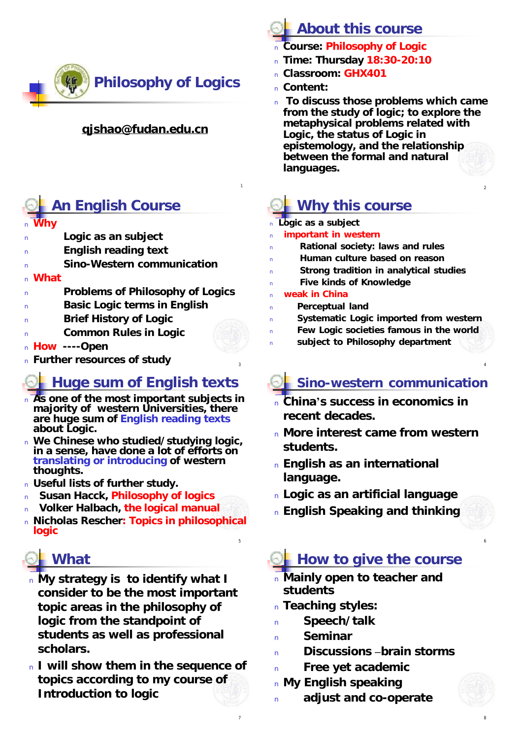

#### **[qjshao@fudan.edu.cn](mailto:qjshao@fudan.edu.cn)**

#### **An English Course**

#### <sup>n</sup> **Why**

- **Logic as an subject**
- **English reading text**
- **Sino-Western communication**

#### <sup>n</sup> **What**

- <sup>n</sup> **Problems of Philosophy of Logics**
- <sup>n</sup> **Basic Logic terms in English**
- <sup>n</sup> **Brief History of Logic**
- <sup>n</sup> **Common Rules in Logic**
- <sup>n</sup> **How ----Open**
- <sup>n</sup> **Further resources of study** <sup>4</sup>

#### **Huge sum of English texts**

- <sup>n</sup> **As one of the most important subjects in majority of western Universities, there are huge sum of English reading texts about Logic.**
- <sup>n</sup> **We Chinese who studied/studying logic, in a sense, have done a lot of efforts on translating or introducing of western thoughts.**
- <sup>n</sup> **Useful lists of further study.**
- <sup>n</sup> **Susan Hacck, Philosophy of logics**
- <sup>n</sup> **Volker Halbach, the logical manual**
- <sup>n</sup> **Nicholas Rescher: Topics in philosophical logic**

# **What**

- <sup>n</sup> **My strategy is to identify what I consider to be the most important topic areas in the philosophy of logic from the standpoint of students as well as professional scholars.**
- <sup>n</sup> **I will show them in the sequence of topics according to my course of Introduction to logic**

# **About this course**

- <sup>n</sup> **Course: Philosophy of Logic**
- <sup>n</sup> **Time: Thursday 18:30-20:10**
- <sup>n</sup> **Classroom: GHX401**
- <sup>n</sup> **Content:**
- <sup>n</sup> **To discuss those problems which came from the study of logic; to explore the metaphysical problems related with Logic, the status of Logic in epistemology, and the relationship between the formal and natural languages.**

# **Why this course**

<sup>n</sup> **Logic as a subject**

1

3

5

7

- **important** in western
- <sup>n</sup> **Rational society: laws and rules**
- <sup>n</sup> **Human culture based on reason**
- <sup>n</sup> **Strong tradition in analytical studies**
- <sup>n</sup> **Five kinds of Knowledge**
- <sup>n</sup> **weak in China**
- <sup>n</sup> **Perceptual land**
- <sup>n</sup> **Systematic Logic imported from western**
- <sup>n</sup> **Few Logic societies famous in the world**
- <sup>n</sup> **subject to Philosophy department**

# **Sino-western communication**

- <sup>n</sup> **China's success in economics in recent decades.**
- <sup>n</sup> **More interest came from western students.**
- <sup>n</sup> **English as an international language.**
- <sup>n</sup> **Logic as an artificial language**
- <sup>n</sup> **English Speaking and thinking**

# **How to give the course**

- <sup>n</sup> **Mainly open to teacher and students**
- <sup>n</sup> **Teaching styles:**
- Speech/talk
- **Seminar**
- <sup>n</sup> **Discussions –brain storms**
- <sup>n</sup> **Free yet academic**
- <sup>n</sup> **My English speaking**
- <sup>n</sup> **adjust and co-operate**

8

6

2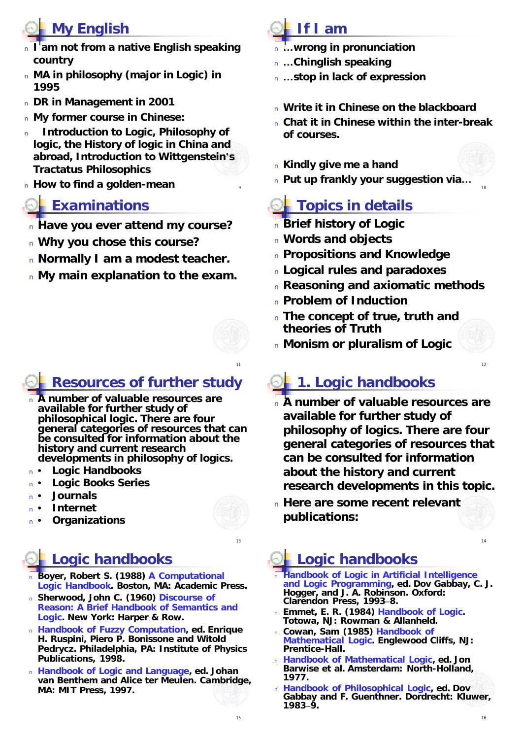# **My English**

- <sup>n</sup> **I am not from a native English speaking country**
- <sup>n</sup> **MA in philosophy (major in Logic) in 1995**
- <sup>n</sup> **DR in Management in 2001**
- <sup>n</sup> **My former course in Chinese:**
- <sup>n</sup> **Introduction to Logic, Philosophy of logic, the History of logic in China and abroad, Introduction to Wittgenstein's Tractatus Philosophics**
- **n** How to find a golden-mean

#### **Examinations**

- <sup>n</sup> **Have you ever attend my course?**
- <sup>n</sup> **Why you chose this course?**
- <sup>n</sup> **Normally I am a modest teacher.**
- <sup>n</sup> **My main explanation to the exam.**



- <sup>n</sup> **A number of valuable resources are available for further study of philosophical logic. There are four general categories of resources that can be consulted for information about the history and current research developments in philosophy of logics.**
- **Logic Handbooks**
- **Logic Books Series**
- <sup>n</sup> **• Journals**
- <sup>n</sup> **• Internet**
- <sup>n</sup> **• Organizations**

### **Logic handbooks**

- <sup>n</sup> **Boyer, Robert S. (1988)** *A Computational Logic Handbook***. Boston, MA: Academic Press.**
- <sup>n</sup> **Sherwood, John C. (1960)** *Discourse of Reason: A Brief Handbook of Semantics and Logic***. New York: Harper & Row.**
- <sup>n</sup> **Handbook of Fuzzy Computation, ed.** *Enrique H. Ruspini, Piero P. Bonissone and Witold Pedrycz***. Philadelphia, PA: Institute of Physics Publications, 1998.**
- <sup>n</sup> **Handbook of Logic and Language, ed.** *Johan van Benthem and Alice ter Meulen***. Cambridge, MA: MIT Press, 1997.**

# **If I am**

9

11

13

- <sup>n</sup> **…wrong in pronunciation**
- <sup>n</sup> **…Chinglish speaking**
- <sup>n</sup> **…stop in lack of expression**
- <sup>n</sup> **Write it in Chinese on the blackboard**
- <sup>n</sup> **Chat it in Chinese within the inter-break of courses.**
- <sup>n</sup> **Kindly give me a hand**
- <sup>n</sup> **Put up frankly your suggestion via…**

#### **Topics in details**

- <sup>n</sup> **Brief history of Logic**
- <sup>n</sup> **Words and objects**
- <sup>n</sup> **Propositions and Knowledge**
- <sup>n</sup> **Logical rules and paradoxes**
- <sup>n</sup> **Reasoning and axiomatic methods**
- <sup>n</sup> **Problem of Induction**
- <sup>n</sup> **The concept of true, truth and theories of Truth**
- <sup>n</sup> **Monism or pluralism of Logic**

# **1. Logic handbooks**

- <sup>n</sup> **A number of valuable resources are available for further study of philosophy of logics. There are four general categories of resources that can be consulted for information about the history and current research developments in this topic.**
- <sup>n</sup> **Here are some recent relevant publications:**

### **Logic handbooks**

- <sup>n</sup> **Handbook of Logic in Artificial Intelligence and Logic Programming, ed.** *Dov Gabbay, C. J. Hogger, and J. A. Robinson***. Oxford: Clarendon Press, 1993–8.**
- <sup>n</sup> **Emmet, E. R. (1984)** *Handbook of Logic***. Totowa, NJ: Rowman & Allanheld.**
- <sup>n</sup> **Cowan, Sam (1985)** *Handbook of Mathematical Logic***. Englewood Cliffs, NJ: Prentice-Hall.**
- <sup>n</sup> **Handbook of Mathematical Logic, ed.** *Jon Barwise et al.* **Amsterdam: North-Holland, 1977.**
- <sup>n</sup> **Handbook of Philosophical Logic, ed.** *Dov Gabbay and F. Guenthner***. Dordrecht: Kluwer, 1983–9.**

12

 $14$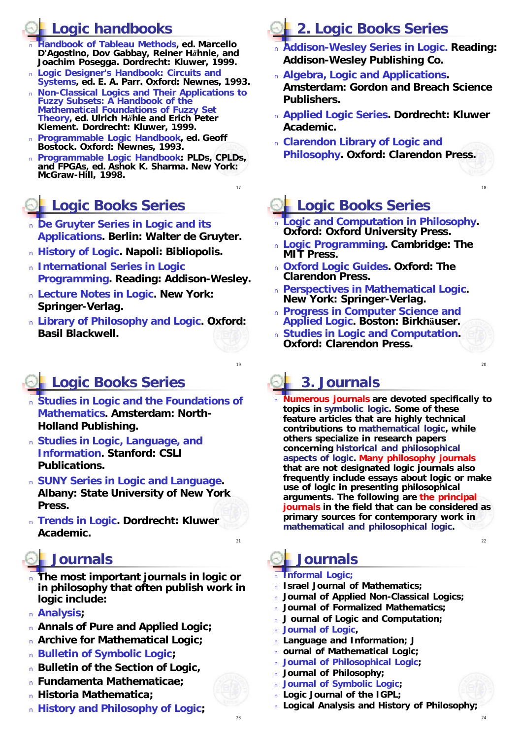#### **Logic handbooks**

- <sup>n</sup> **Handbook of Tableau Methods, ed.** *Marcello D'Agostino, Dov Gabbay, Reiner Hähnle, and Joachim Posegga***. Dordrecht: Kluwer, 1999.**
- <sup>n</sup> **Logic Designer's Handbook: Circuits and Systems, ed.** *E. A. Parr***. Oxford: Newnes, 1993.**
- <sup>n</sup> **Non-Classical Logics and Their Applications to Fuzzy Subsets: A Handbook of the Mathematical Foundations of Fuzzy Set Theory, ed.** *Ulrich Höhle and Erich Peter Klement***. Dordrecht: Kluwer, 1999.**
- <sup>n</sup> **Programmable Logic Handbook, ed.** *Geoff Bostock***. Oxford: Newnes, 1993.**
- <sup>n</sup> **Programmable Logic Handbook: PLDs, CPLDs, and FPGAs, ed.** *Ashok K. Sharma***. New York: McGraw-Hill, 1998.**

17

19

#### **Logic Books Series**

- <sup>n</sup> **De Gruyter Series in Logic and its Applications. Berlin: Walter de Gruyter.**
- <sup>n</sup> **History of Logic. Napoli: Bibliopolis.**
- <sup>n</sup> **International Series in Logic Programming. Reading: Addison-Wesley.**
- <sup>n</sup> **Lecture Notes in Logic. New York: Springer-Verlag.**
- <sup>n</sup> **Library of Philosophy and Logic. Oxford: Basil Blackwell.**

## **Logic Books Series**

- <sup>n</sup> **Studies in Logic and the Foundations of Mathematics. Amsterdam: North-Holland Publishing.**
- <sup>n</sup> **Studies in Logic, Language, and Information. Stanford: CSLI Publications.**
- <sup>n</sup> **SUNY Series in Logic and Language. Albany: State University of New York Press.**
- <sup>n</sup> **Trends in Logic. Dordrecht: Kluwer Academic.**

#### **Journals**

- <sup>n</sup> **The most important journals in logic or in philosophy that often publish work in logic include:**
- <sup>n</sup> *Analysis;*
- <sup>n</sup> *Annals of Pure and Applied Logic;*
- <sup>n</sup> *Archive for Mathematical Logic;*
- <sup>n</sup> *Bulletin of Symbolic Logic;*
- <sup>n</sup> *Bulletin of the Section of Logic,*
- <sup>n</sup> *Fundamenta Mathematicae;*
- <sup>n</sup> *Historia Mathematica;*
- <sup>n</sup> *History and Philosophy of Logic;*

# **2. Logic Books Series**

- <sup>n</sup> **Addison-Wesley Series in Logic. Reading: Addison-Wesley Publishing Co.**
- <sup>n</sup> **Algebra, Logic and Applications. Amsterdam: Gordon and Breach Science Publishers.**
- <sup>n</sup> **Applied Logic Series. Dordrecht: Kluwer Academic.**
- <sup>n</sup> **Clarendon Library of Logic and Philosophy. Oxford: Clarendon Press.**

### **Logic Books Series**

- <sup>n</sup> **Logic and Computation in Philosophy. Oxford: Oxford University Press.**
- <sup>n</sup> **Logic Programming. Cambridge: The MIT Press.**
- <sup>n</sup> **Oxford Logic Guides. Oxford: The Clarendon Press.**
- <sup>n</sup> **Perspectives in Mathematical Logic. New York: Springer-Verlag.**
- <sup>n</sup> **Progress in Computer Science and Applied Logic. Boston: Birkhäuser.**
- <sup>n</sup> **Studies in Logic and Computation. Oxford: Clarendon Press.**

### **3. Journals**

<sup>n</sup> **Numerous journals are devoted specifically to topics in symbolic logic. Some of these feature articles that are highly technical contributions to mathematical logic, while others specialize in research papers concerning historical and philosophical aspects of logic. Many philosophy journals that are not designated logic journals also frequently include essays about logic or make use of logic in presenting philosophical arguments. The following are the principal journals in the field that can be considered as primary sources for contemporary work in mathematical and philosophical logic.** 

#### $22$

24

18

 $20$ 

#### **Journals**

- <sup>n</sup> *Informal Logic;*
- <sup>n</sup> *Israel Journal of Mathematics;*
- <sup>n</sup> *Journal of Applied Non-Classical Logics;*
- <sup>n</sup> *Journal of Formalized Mathematics;*
- <sup>n</sup> *J ournal of Logic and Computation;*
- <sup>n</sup> *Journal of Logic,*
- <sup>n</sup> *Language and Information; J*
- <sup>n</sup> *ournal of Mathematical Logic;*
- <sup>n</sup> *Journal of Philosophical Logic;*
- <sup>n</sup> *Journal of Philosophy;*
- <sup>n</sup> *Journal of Symbolic Logic;*
- <sup>n</sup> *Logic Journal of the IGPL;*
- <sup>n</sup> *Logical Analysis and History of Philosophy;*

 $21$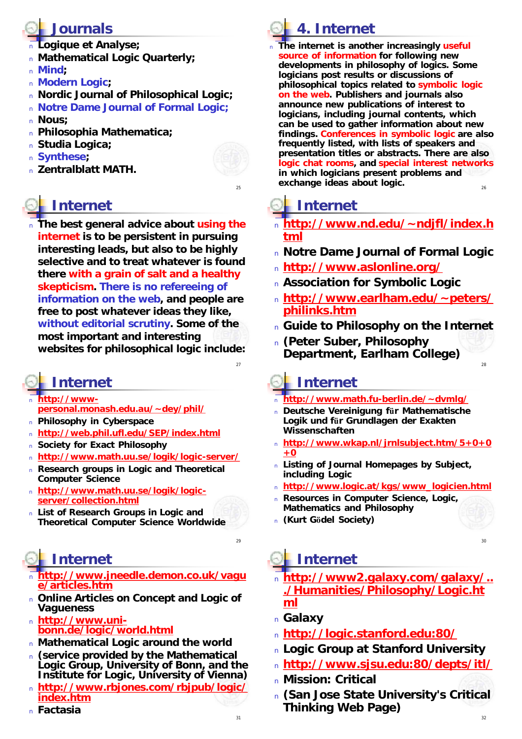#### **Journals**

- <sup>n</sup> *Logique et Analyse;*
- <sup>n</sup> *Mathematical Logic Quarterly;*
- <sup>n</sup> *Mind;*
- <sup>n</sup> *Modern Logic;*
- <sup>n</sup> *Nordic Journal of Philosophical Logic;*
- <sup>n</sup> *Notre Dame Journal of Formal Logic;*
- <sup>n</sup> *Nous;*
- <sup>n</sup> *Philosophia Mathematica;*
- <sup>n</sup> *Studia Logica;*
- <sup>n</sup> *Synthese;*
- <sup>n</sup> *Zentralblatt MATH.*

## **Internet**

**The best general advice about using the internet is to be persistent in pursuing interesting leads, but also to be highly selective and to treat whatever is found there with a grain of salt and a healthy skepticism. There is no refereeing of information on the web, and people are free to post whatever ideas they like, without editorial scrutiny. Some of the most important and interesting websites for philosophical logic include:**

## **Internet**

- <sup>n</sup> **http://wwwpersonal.monash.edu.au/~dey/phil/**
- <sup>n</sup> **Philosophy in Cyberspace**
- <sup>n</sup> **<http://web.phil.ufl.edu/SEP/index.html>**
- <sup>n</sup> **Society for Exact Philosophy**
- <sup>n</sup> **<http://www.math.uu.se/logik/logic-server/>**
- <sup>n</sup> **Research groups in Logic and Theoretical Computer Science**
- <sup>n</sup> **<http://www.math.uu.se/logik/logic>server/collection.html**
- <sup>n</sup> **List of Research Groups in Logic and Theoretical Computer Science Worldwide**

# **Internet**

- <sup>n</sup> **<http://www.jneedle.demon.co.uk/vagu> e/articles.htm**
- <sup>n</sup> **Online Articles on Concept and Logic of Vagueness**
- <sup>n</sup> **<http://www.uni>bonn.de/logic/world.html**
- <sup>n</sup> **Mathematical Logic around the world**
- <sup>n</sup> **(service provided by the Mathematical Logic Group, University of Bonn, and the Institute for Logic, University of Vienna)**
- <sup>n</sup> **<http://www.rbjones.com/rbjpub/logic/> index.htm**
- <sup>n</sup> **Factasia**

# **4. Internet**

26 <sup>n</sup> **The internet is another increasingly useful source of information for following new developments in philosophy of logics. Some logicians post results or discussions of philosophical topics related to symbolic logic on the web. Publishers and journals also announce new publications of interest to logicians, including journal contents, which can be used to gather information about new findings. Conferences in symbolic logic are also frequently listed, with lists of speakers and presentation titles or abstracts. There are also logic chat rooms, and special interest networks in which logicians present problems and exchange ideas about logic.** 

# **Internet**

25

27

 $29$ 

- <sup>n</sup> **<http://www.nd.edu/~ndjfl/index.h> tml**
- <sup>n</sup> *Notre Dame Journal of Formal Logic*
- <sup>n</sup> **<http://www.aslonline.org/>**
- <sup>n</sup> **Association for Symbolic Logic**
- <sup>n</sup> **<http://www.earlham.edu/~peters/> philinks.htm**
- <sup>n</sup> **Guide to Philosophy on the Internet**

 $28$ 

30

32

<sup>n</sup> **(Peter Suber, Philosophy Department, Earlham College)**

## **Internet**

- <sup>n</sup> **<http://www.math.fu-berlin.de/~dvmlg/>**
- <sup>n</sup> **Deutsche Vereinigung für Mathematische Logik und für Grundlagen der Exakten Wissenschaften**
- <sup>n</sup> **<http://www.wkap.nl/jrnlsubject.htm/5+0+0> +0**
- <sup>n</sup> **Listing of Journal Homepages by Subject, including Logic**
- <sup>n</sup> **[http://www.logic.at/kgs/www\\_logicien.html](http://www.logic.at/kgs/www_logicien.html)**
- <sup>n</sup> **Resources in Computer Science, Logic, Mathematics and Philosophy**
- <sup>n</sup> **(Kurt Gödel Society)**

# **Internet**

- <sup>n</sup> **<http://www2.galaxy.com/galaxy/>.. ./Humanities/Philosophy/Logic.ht ml**
- <sup>n</sup> **Galaxy**
- <sup>n</sup> **<http://logic.stanford.edu:80/>**
- <sup>n</sup> **Logic Group at Stanford University**
- <sup>n</sup> **<http://www.sjsu.edu:80/depts/itl/>**
- <sup>n</sup> **Mission: Critical**
- <sup>n</sup> **(San Jose State University's Critical Thinking Web Page)**